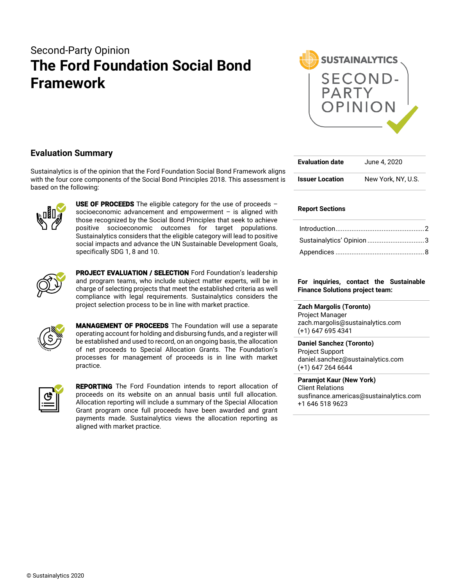# Second-Party Opinion **The Ford Foundation Social Bond Framework**



### **Evaluation Summary**

Sustainalytics is of the opinion that the Ford Foundation Social Bond Framework aligns with the four core components of the Social Bond Principles 2018. This assessment is based on the following:



**USE OF PROCEEDS** The eligible category for the use of proceeds  $$ socioeconomic advancement and empowerment – is aligned with those recognized by the Social Bond Principles that seek to achieve positive socioeconomic outcomes for target populations. Sustainalytics considers that the eligible category will lead to positive social impacts and advance the UN Sustainable Development Goals, specifically SDG 1, 8 and 10.



PROJECT EVALUATION / SELECTION Ford Foundation's leadership and program teams, who include subject matter experts, will be in charge of selecting projects that meet the established criteria as well compliance with legal requirements. Sustainalytics considers the project selection process to be in line with market practice.



MANAGEMENT OF PROCEEDS The Foundation will use a separate operating account for holding and disbursing funds, and a register will be established and used to record, on an ongoing basis, the allocation of net proceeds to Special Allocation Grants. The Foundation's processes for management of proceeds is in line with market practice.

| п              |  |
|----------------|--|
| $\blacksquare$ |  |

**REPORTING** The Ford Foundation intends to report allocation of proceeds on its website on an annual basis until full allocation. Allocation reporting will include a summary of the Special Allocation Grant program once full proceeds have been awarded and grant payments made. Sustainalytics views the allocation reporting as aligned with market practice.

| <b>Evaluation date</b> | June 4, 2020       |
|------------------------|--------------------|
| <b>Issuer Location</b> | New York, NY, U.S. |

#### **Report Sections**

#### **For inquiries, contact the Sustainable Finance Solutions project team:**

**Zach Margolis (Toronto)**  Project Manager zach.margolis@sustainalytics.com (+1) 647 695 4341

**Daniel Sanchez (Toronto)**  Project Support daniel.sanchez@sustainalytics.com (+1) 647 264 6644

**Paramjot Kaur (New York)** Client Relations susfinance.americas@sustainalytics.com +1 646 518 9623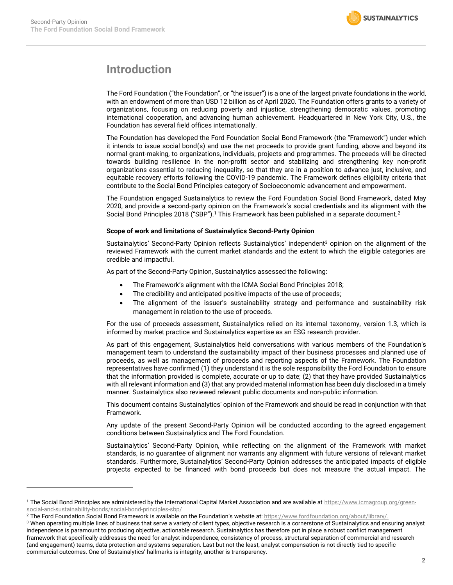

# <span id="page-1-0"></span>**Introduction**

The Ford Foundation ("the Foundation", or "the issuer") is a one of the largest private foundations in the world, with an endowment of more than USD 12 billion as of April 2020. The Foundation offers grants to a variety of organizations, focusing on reducing poverty and injustice, strengthening democratic values, promoting international cooperation, and advancing human achievement. Headquartered in New York City, U.S., the Foundation has several field offices internationally.

The Foundation has developed the Ford Foundation Social Bond Framework (the "Framework") under which it intends to issue social bond(s) and use the net proceeds to provide grant funding, above and beyond its normal grant-making, to organizations, individuals, projects and programmes. The proceeds will be directed towards building resilience in the non-profit sector and stabilizing and strengthening key non-profit organizations essential to reducing inequality, so that they are in a position to advance just, inclusive, and equitable recovery efforts following the COVID-19 pandemic. The Framework defines eligibility criteria that contribute to the Social Bond Principles category of Socioeconomic advancement and empowerment.

The Foundation engaged Sustainalytics to review the Ford Foundation Social Bond Framework, dated May 2020, and provide a second-party opinion on the Framework's social credentials and its alignment with the Social Bond Principles 2018 ("SBP").<sup>1</sup> This Framework has been published in a separate document.<sup>2</sup>

#### **Scope of work and limitations of Sustainalytics Second-Party Opinion**

Sustainalytics' Second-Party Opinion reflects Sustainalytics' independent<sup>3</sup> opinion on the alignment of the reviewed Framework with the current market standards and the extent to which the eligible categories are credible and impactful.

As part of the Second-Party Opinion, Sustainalytics assessed the following:

- The Framework's alignment with the ICMA Social Bond Principles 2018;
- The credibility and anticipated positive impacts of the use of proceeds;
- The alignment of the issuer's sustainability strategy and performance and sustainability risk management in relation to the use of proceeds.

For the use of proceeds assessment, Sustainalytics relied on its internal taxonomy, version 1.3, which is informed by market practice and Sustainalytics expertise as an ESG research provider.

As part of this engagement, Sustainalytics held conversations with various members of the Foundation's management team to understand the sustainability impact of their business processes and planned use of proceeds, as well as management of proceeds and reporting aspects of the Framework. The Foundation representatives have confirmed (1) they understand it is the sole responsibility the Ford Foundation to ensure that the information provided is complete, accurate or up to date; (2) that they have provided Sustainalytics with all relevant information and (3) that any provided material information has been duly disclosed in a timely manner. Sustainalytics also reviewed relevant public documents and non-public information.

This document contains Sustainalytics' opinion of the Framework and should be read in conjunction with that Framework.

Any update of the present Second-Party Opinion will be conducted according to the agreed engagement conditions between Sustainalytics and The Ford Foundation.

Sustainalytics' Second-Party Opinion, while reflecting on the alignment of the Framework with market standards, is no guarantee of alignment nor warrants any alignment with future versions of relevant market standards. Furthermore, Sustainalytics' Second-Party Opinion addresses the anticipated impacts of eligible projects expected to be financed with bond proceeds but does not measure the actual impact. The

<sup>&</sup>lt;sup>1</sup> The Social Bond Principles are administered by the International Capital Market Association and are available a[t https://www.icmagroup.org/green](https://www.icmagroup.org/green-social-and-sustainability-bonds/social-bond-principles-sbp/)[social-and-sustainability-bonds/social-bond-principles-sbp/](https://www.icmagroup.org/green-social-and-sustainability-bonds/social-bond-principles-sbp/)

<sup>&</sup>lt;sup>2</sup> The Ford Foundation Social Bond Framework is available on the Foundation's website at: [https://www.fordfoundation.org/about/library/.](https://www.fordfoundation.org/about/library/)

<sup>&</sup>lt;sup>3</sup> When operating multiple lines of business that serve a variety of client types, objective research is a cornerstone of Sustainalytics and ensuring analyst independence is paramount to producing objective, actionable research. Sustainalytics has therefore put in place a robust conflict management framework that specifically addresses the need for analyst independence, consistency of process, structural separation of commercial and research (and engagement) teams, data protection and systems separation. Last but not the least, analyst compensation is not directly tied to specific commercial outcomes. One of Sustainalytics' hallmarks is integrity, another is transparency.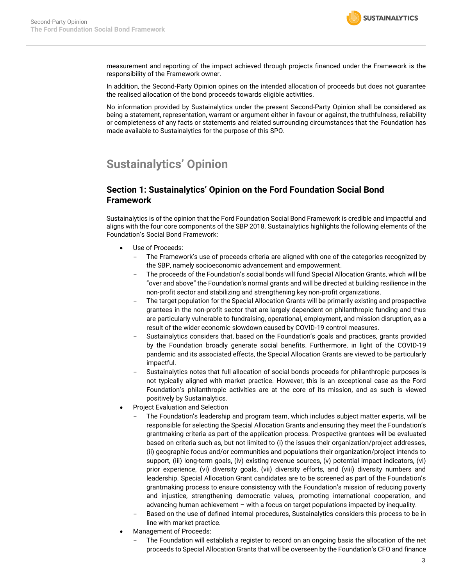

measurement and reporting of the impact achieved through projects financed under the Framework is the responsibility of the Framework owner.

In addition, the Second-Party Opinion opines on the intended allocation of proceeds but does not guarantee the realised allocation of the bond proceeds towards eligible activities.

No information provided by Sustainalytics under the present Second-Party Opinion shall be considered as being a statement, representation, warrant or argument either in favour or against, the truthfulness, reliability or completeness of any facts or statements and related surrounding circumstances that the Foundation has made available to Sustainalytics for the purpose of this SPO.

# <span id="page-2-0"></span>**Sustainalytics' Opinion**

### **Section 1: Sustainalytics' Opinion on the Ford Foundation Social Bond Framework**

Sustainalytics is of the opinion that the Ford Foundation Social Bond Framework is credible and impactful and aligns with the four core components of the SBP 2018. Sustainalytics highlights the following elements of the Foundation's Social Bond Framework:

- Use of Proceeds:
	- The Framework's use of proceeds criteria are aligned with one of the categories recognized by the SBP, namely socioeconomic advancement and empowerment.
	- The proceeds of the Foundation's social bonds will fund Special Allocation Grants, which will be "over and above" the Foundation's normal grants and will be directed at building resilience in the non-profit sector and stabilizing and strengthening key non-profit organizations.
	- The target population for the Special Allocation Grants will be primarily existing and prospective grantees in the non-profit sector that are largely dependent on philanthropic funding and thus are particularly vulnerable to fundraising, operational, employment, and mission disruption, as a result of the wider economic slowdown caused by COVID-19 control measures.
	- Sustainalytics considers that, based on the Foundation's goals and practices, grants provided by the Foundation broadly generate social benefits. Furthermore, in light of the COVID-19 pandemic and its associated effects, the Special Allocation Grants are viewed to be particularly impactful.
	- Sustainalytics notes that full allocation of social bonds proceeds for philanthropic purposes is not typically aligned with market practice. However, this is an exceptional case as the Ford Foundation's philanthropic activities are at the core of its mission, and as such is viewed positively by Sustainalytics.
- Project Evaluation and Selection
	- The Foundation's leadership and program team, which includes subject matter experts, will be responsible for selecting the Special Allocation Grants and ensuring they meet the Foundation's grantmaking criteria as part of the application process. Prospective grantees will be evaluated based on criteria such as, but not limited to (i) the issues their organization/project addresses, (ii) geographic focus and/or communities and populations their organization/project intends to support, (iii) long-term goals, (iv) existing revenue sources, (v) potential impact indicators, (vi) prior experience, (vi) diversity goals, (vii) diversity efforts, and (viii) diversity numbers and leadership. Special Allocation Grant candidates are to be screened as part of the Foundation's grantmaking process to ensure consistency with the Foundation's mission of reducing poverty and injustice, strengthening democratic values, promoting international cooperation, and advancing human achievement – with a focus on target populations impacted by inequality.
	- Based on the use of defined internal procedures, Sustainalytics considers this process to be in line with market practice.
- Management of Proceeds:
	- The Foundation will establish a register to record on an ongoing basis the allocation of the net proceeds to Special Allocation Grants that will be overseen by the Foundation's CFO and finance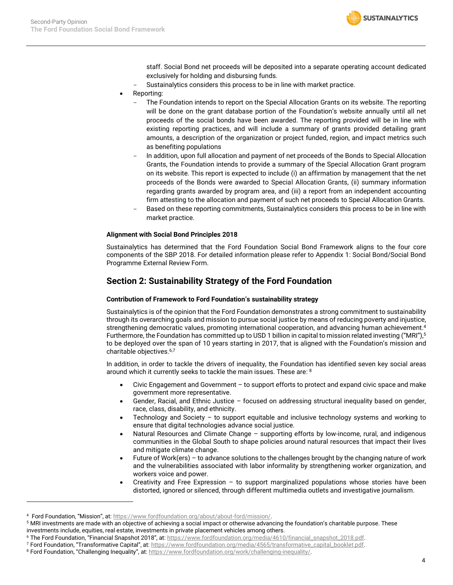

staff. Social Bond net proceeds will be deposited into a separate operating account dedicated exclusively for holding and disbursing funds.

- Sustainalytics considers this process to be in line with market practice.
- Reporting:
	- The Foundation intends to report on the Special Allocation Grants on its website. The reporting will be done on the grant database portion of the Foundation's website annually until all net proceeds of the social bonds have been awarded. The reporting provided will be in line with existing reporting practices, and will include a summary of grants provided detailing grant amounts, a description of the organization or project funded, region, and impact metrics such as benefiting populations
	- In addition, upon full allocation and payment of net proceeds of the Bonds to Special Allocation Grants, the Foundation intends to provide a summary of the Special Allocation Grant program on its website. This report is expected to include (i) an affirmation by management that the net proceeds of the Bonds were awarded to Special Allocation Grants, (ii) summary information regarding grants awarded by program area, and (iii) a report from an independent accounting firm attesting to the allocation and payment of such net proceeds to Special Allocation Grants.
	- Based on these reporting commitments, Sustainalytics considers this process to be in line with market practice.

#### **Alignment with Social Bond Principles 2018**

Sustainalytics has determined that the Ford Foundation Social Bond Framework aligns to the four core components of the SBP 2018. For detailed information please refer to Appendix 1: Social Bond/Social Bond Programme External Review Form.

### **Section 2: Sustainability Strategy of the Ford Foundation**

#### **Contribution of Framework to Ford Foundation's sustainability strategy**

Sustainalytics is of the opinion that the Ford Foundation demonstrates a strong commitment to sustainability through its overarching goals and mission to pursue social justice by means of reducing poverty and injustice, strengthening democratic values, promoting international cooperation, and advancing human achievement. 4 Furthermore, the Foundation has committed up to USD 1 billion in capital to mission related investing ("MRI"),<sup>5</sup> to be deployed over the span of 10 years starting in 2017, that is aligned with the Foundation's mission and charitable objectives. 6,7

In addition, in order to tackle the drivers of inequality, the Foundation has identified seven key social areas around which it currently seeks to tackle the main issues. These are: <sup>8</sup>

- Civic Engagement and Government to support efforts to protect and expand civic space and make government more representative.
- Gender, Racial, and Ethnic Justice focused on addressing structural inequality based on gender, race, class, disability, and ethnicity.
- Technology and Society  $-$  to support equitable and inclusive technology systems and working to ensure that digital technologies advance social justice.
- Natural Resources and Climate Change supporting efforts by low-income, rural, and indigenous communities in the Global South to shape policies around natural resources that impact their lives and mitigate climate change.
- Future of Work(ers) to advance solutions to the challenges brought by the changing nature of work and the vulnerabilities associated with labor informality by strengthening worker organization, and workers voice and power.
- Creativity and Free Expression to support marginalized populations whose stories have been distorted, ignored or silenced, through different multimedia outlets and investigative journalism.

<sup>4</sup> Ford Foundation, "Mission", at: [https://www.fordfoundation.org/about/about-ford/mission/.](https://www.fordfoundation.org/about/about-ford/mission/) 

<sup>&</sup>lt;sup>5</sup> MRI investments are made with an objective of achieving a social impact or otherwise advancing the foundation's charitable purpose. These investments include, equities, real estate, investments in private placement vehicles among others.

<sup>6</sup> The Ford Foundation, "Financial Snapshot 2018", at: [https://www.fordfoundation.org/media/4610/financial\\_snapshot\\_2018.pdf.](https://www.fordfoundation.org/media/4610/financial_snapshot_2018.pdf)

<sup>7</sup> Ford Foundation, "Transformative Capital", at: [https://www.fordfoundation.org/media/4565/transformative\\_capital\\_booklet.pdf.](https://www.fordfoundation.org/media/4565/transformative_capital_booklet.pdf)

<sup>8</sup> Ford Foundation, "Challenging Inequality", at: https://www.fordfoundation.org/work/challenging-inequality/.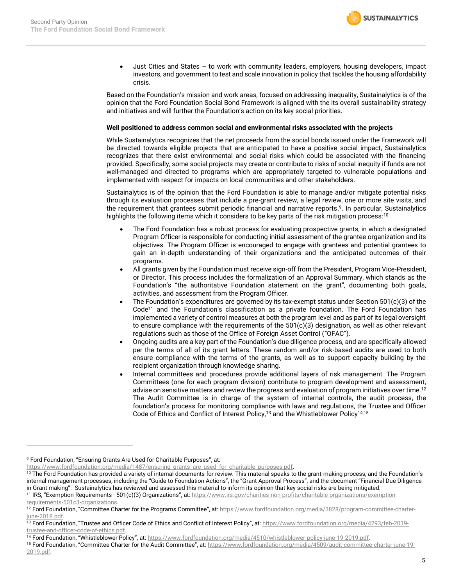

• Just Cities and States – to work with community leaders, employers, housing developers, impact investors, and government to test and scale innovation in policy that tackles the housing affordability crisis.

Based on the Foundation's mission and work areas, focused on addressing inequality, Sustainalytics is of the opinion that the Ford Foundation Social Bond Framework is aligned with the its overall sustainability strategy and initiatives and will further the Foundation's action on its key social priorities.

#### **Well positioned to address common social and environmental risks associated with the projects**

While Sustainalytics recognizes that the net proceeds from the social bonds issued under the Framework will be directed towards eligible projects that are anticipated to have a positive social impact, Sustainalytics recognizes that there exist environmental and social risks which could be associated with the financing provided. Specifically, some social projects may create or contribute to risks of social inequity if funds are not well-managed and directed to programs which are appropriately targeted to vulnerable populations and implemented with respect for impacts on local communities and other stakeholders.

Sustainalytics is of the opinion that the Ford Foundation is able to manage and/or mitigate potential risks through its evaluation processes that include a pre-grant review, a legal review, one or more site visits, and the requirement that grantees submit periodic financial and narrative reports. <sup>9</sup>. In particular, Sustainalytics highlights the following items which it considers to be key parts of the risk mitigation process:<sup>10</sup>

- The Ford Foundation has a robust process for evaluating prospective grants, in which a designated Program Officer is responsible for conducting initial assessment of the grantee organization and its objectives. The Program Officer is encouraged to engage with grantees and potential grantees to gain an in-depth understanding of their organizations and the anticipated outcomes of their programs.
- All grants given by the Foundation must receive sign-off from the President, Program Vice-President, or Director. This process includes the formalization of an Approval Summary, which stands as the Foundation's "the authoritative Foundation statement on the grant", documenting both goals, activities, and assessment from the Program Officer.
- The Foundation's expenditures are governed by its tax-exempt status under Section 501(c)(3) of the Code<sup>11</sup> and the Foundation's classification as a private foundation. The Ford Foundation has implemented a variety of control measures at both the program level and as part of its legal oversight to ensure compliance with the requirements of the 501(c)(3) designation, as well as other relevant regulations such as those of the Office of Foreign Asset Control ("OFAC").
- Ongoing audits are a key part of the Foundation's due diligence process, and are specifically allowed per the terms of all of its grant letters. These random and/or risk-based audits are used to both ensure compliance with the terms of the grants, as well as to support capacity building by the recipient organization through knowledge sharing.
- Internal committees and procedures provide additional layers of risk management. The Program Committees (one for each program division) contribute to program development and assessment, advise on sensitive matters and review the progress and evaluation of program initiatives over time.<sup>12</sup> The Audit Committee is in charge of the system of internal controls, the audit process, the foundation's process for monitoring compliance with laws and regulations, the Trustee and Officer Code of Ethics and Conflict of Interest Policy,<sup>13</sup> and the Whistleblower Policy<sup>14,15</sup>

[https://www.fordfoundation.org/media/1487/ensuring\\_grants\\_are\\_used\\_for\\_charitable\\_purposes.pdf.](https://www.fordfoundation.org/media/1487/ensuring_grants_are_used_for_charitable_purposes.pdf) 

<sup>9</sup> Ford Foundation, "Ensuring Grants Are Used for Charitable Purposes", at:

<sup>&</sup>lt;sup>10</sup> The Ford Foundation has provided a variety of internal documents for review. This material speaks to the grant-making process, and the Foundation's internal management processes, including the "Guide to Foundation Actions", the "Grant Approval Process", and the document "Financial Due Diligence in Grant making". Sustainalytics has reviewed and assessed this material to inform its opinion that key social risks are being mitigated.

<sup>&</sup>lt;sup>11</sup> IRS, "Exemption Requirements - 501(c)(3) Organizations", at: [https://www.irs.gov/charities-non-profits/charitable-organizations/exemption-](https://www.irs.gov/charities-non-profits/charitable-organizations/exemption-requirements-501c3-organizations)

[requirements-501c3-organizations.](https://www.irs.gov/charities-non-profits/charitable-organizations/exemption-requirements-501c3-organizations)

<sup>&</sup>lt;sup>12</sup> Ford Foundation, "Committee Charter for the Programs Committee", at: [https://www.fordfoundation.org/media/3828/program-committee-charter](https://www.fordfoundation.org/media/3828/program-committee-charter-june-2018.pdf)[june-2018.pdf.](https://www.fordfoundation.org/media/3828/program-committee-charter-june-2018.pdf)

<sup>13</sup> Ford Foundation, "Trustee and Officer Code of Ethics and Conflict of Interest Policy", at: [https://www.fordfoundation.org/media/4293/feb-2019](https://www.fordfoundation.org/media/4293/feb-2019-trustee-and-officer-code-of-ethics.pdf) [trustee-and-officer-code-of-ethics.pdf.](https://www.fordfoundation.org/media/4293/feb-2019-trustee-and-officer-code-of-ethics.pdf) 

<sup>&</sup>lt;sup>14</sup> Ford Foundation, "Whistleblower Policy", at: [https://www.fordfoundation.org/media/4510/whistleblower-policy-june-19-2019.pdf.](https://www.fordfoundation.org/media/4510/whistleblower-policy-june-19-2019.pdf)

<sup>15</sup> Ford Foundation, "Committee Charter for the Audit Committee", at: [https://www.fordfoundation.org/media/4509/audit-committee-charter-june-19-](https://www.fordfoundation.org/media/4509/audit-committee-charter-june-19-2019.pdf) [2019.pdf.](https://www.fordfoundation.org/media/4509/audit-committee-charter-june-19-2019.pdf)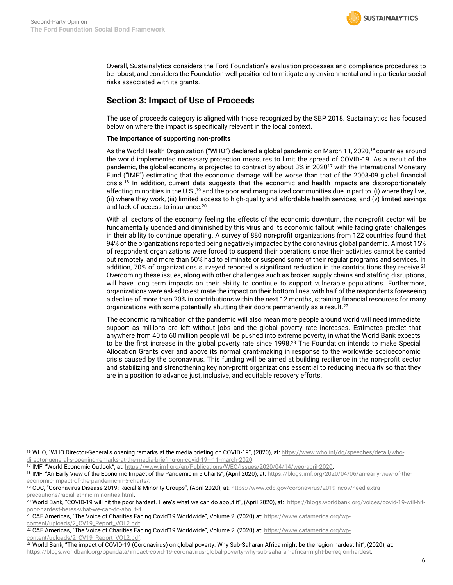

Overall, Sustainalytics considers the Ford Foundation's evaluation processes and compliance procedures to be robust, and considers the Foundation well-positioned to mitigate any environmental and in particular social risks associated with its grants.

### **Section 3: Impact of Use of Proceeds**

The use of proceeds category is aligned with those recognized by the SBP 2018. Sustainalytics has focused below on where the impact is specifically relevant in the local context.

#### **The importance of supporting non-profits**

As the World Health Organization ("WHO") declared a global pandemic on March 11, 2020,<sup>16</sup> countries around the world implemented necessary protection measures to limit the spread of COVID-19. As a result of the pandemic, the global economy is projected to contract by about 3% in 2020<sup>17</sup> with the International Monetary Fund ("IMF") estimating that the economic damage will be worse than that of the 2008-09 global financial crisis.<sup>18</sup> In addition, current data suggests that the economic and health impacts are disproportionately affecting minorities in the U.S.,<sup>19</sup> and the poor and marginalized communities due in part to (i) where they live, (ii) where they work, (iii) limited access to high-quality and affordable health services, and (v) limited savings and lack of access to insurance.<sup>20</sup>

With all sectors of the economy feeling the effects of the economic downturn, the non-profit sector will be fundamentally upended and diminished by this virus and its economic fallout, while facing grater challenges in their ability to continue operating. A survey of 880 non-profit organizations from 122 countries found that 94% of the organizations reported being negatively impacted by the coronavirus global pandemic. Almost 15% of respondent organizations were forced to suspend their operations since their activities cannot be carried out remotely, and more than 60% had to eliminate or suspend some of their regular programs and services. In addition, 70% of organizations surveyed reported a significant reduction in the contributions they receive.<sup>21</sup> Overcoming these issues, along with other challenges such as broken supply chains and staffing disruptions, will have long term impacts on their ability to continue to support vulnerable populations. Furthermore, organizations were asked to estimate the impact on their bottom lines, with half of the respondents foreseeing a decline of more than 20% in contributions within the next 12 months, straining financial resources for many organizations with some potentially shutting their doors permanently as a result.<sup>22</sup>

The economic ramification of the pandemic will also mean more people around world will need immediate support as millions are left without jobs and the global poverty rate increases. Estimates predict that anywhere from 40 to 60 million people will be pushed into extreme poverty, in what the World Bank expects to be the first increase in the global poverty rate since 1998.<sup>23</sup> The Foundation intends to make Special Allocation Grants over and above its normal grant-making in response to the worldwide socioeconomic crisis caused by the coronavirus. This funding will be aimed at building resilience in the non-profit sector and stabilizing and strengthening key non-profit organizations essential to reducing inequality so that they are in a position to advance just, inclusive, and equitable recovery efforts.

<sup>&</sup>lt;sup>16</sup> WHO, "WHO Director-General's opening remarks at the media briefing on COVID-19", (2020), at: [https://www.who.int/dg/speeches/detail/who](https://www.who.int/dg/speeches/detail/who-director-general-s-opening-remarks-at-the-media-briefing-on-covid-19---11-march-2020)[director-general-s-opening-remarks-at-the-media-briefing-on-covid-19---11-march-2020.](https://www.who.int/dg/speeches/detail/who-director-general-s-opening-remarks-at-the-media-briefing-on-covid-19---11-march-2020)

<sup>17</sup> IMF, "World Economic Outlook", at: [https://www.imf.org/en/Publications/WEO/Issues/2020/04/14/weo-april-2020.](https://www.imf.org/en/Publications/WEO/Issues/2020/04/14/weo-april-2020)

<sup>&</sup>lt;sup>18</sup> IMF, "An Early View of the Economic Impact of the Pandemic in 5 Charts", (April 2020), at: [https://blogs.imf.org/2020/04/06/an-early-view-of-the](https://blogs.imf.org/2020/04/06/an-early-view-of-the-economic-impact-of-the-pandemic-in-5-charts/)[economic-impact-of-the-pandemic-in-5-charts/.](https://blogs.imf.org/2020/04/06/an-early-view-of-the-economic-impact-of-the-pandemic-in-5-charts/) 

<sup>&</sup>lt;sup>19</sup> CDC, "Coronavirus Disease 2019: Racial & Minority Groups", (April 2020), at: [https://www.cdc.gov/coronavirus/2019-ncov/need-extra](https://www.cdc.gov/coronavirus/2019-ncov/need-extra-precautions/racial-ethnic-minorities.html)[precautions/racial-ethnic-minorities.html.](https://www.cdc.gov/coronavirus/2019-ncov/need-extra-precautions/racial-ethnic-minorities.html) 

<sup>&</sup>lt;sup>20</sup> World Bank, "COVID-19 will hit the poor hardest. Here's what we can do about it", (April 2020), at: [https://blogs.worldbank.org/voices/covid-19-will-hit](https://blogs.worldbank.org/voices/covid-19-will-hit-poor-hardest-heres-what-we-can-do-about-it)[poor-hardest-heres-what-we-can-do-about-it.](https://blogs.worldbank.org/voices/covid-19-will-hit-poor-hardest-heres-what-we-can-do-about-it) 

<sup>&</sup>lt;sup>21</sup> CAF Americas, "The Voice of Charities Facing Covid'19 Worldwide", Volume 2, (2020) at: [https://www.cafamerica.org/wp](https://www.cafamerica.org/wp-content/uploads/2_CV19_Report_VOL2.pdf)[content/uploads/2\\_CV19\\_Report\\_VOL2.pdf.](https://www.cafamerica.org/wp-content/uploads/2_CV19_Report_VOL2.pdf) 

<sup>&</sup>lt;sup>22</sup> CAF Americas, "The Voice of Charities Facing Covid'19 Worldwide", Volume 2, (2020) at: [https://www.cafamerica.org/wp](https://www.cafamerica.org/wp-content/uploads/2_CV19_Report_VOL2.pdf)[content/uploads/2\\_CV19\\_Report\\_VOL2.pdf.](https://www.cafamerica.org/wp-content/uploads/2_CV19_Report_VOL2.pdf)

<sup>&</sup>lt;sup>23</sup> World Bank, "The impact of COVID-19 (Coronavirus) on global poverty: Why Sub-Saharan Africa might be the region hardest hit", (2020), at: [https://blogs.worldbank.org/opendata/impact-covid-19-coronavirus-global-poverty-why-sub-saharan-africa-might-be-region-hardest.](https://blogs.worldbank.org/opendata/impact-covid-19-coronavirus-global-poverty-why-sub-saharan-africa-might-be-region-hardest)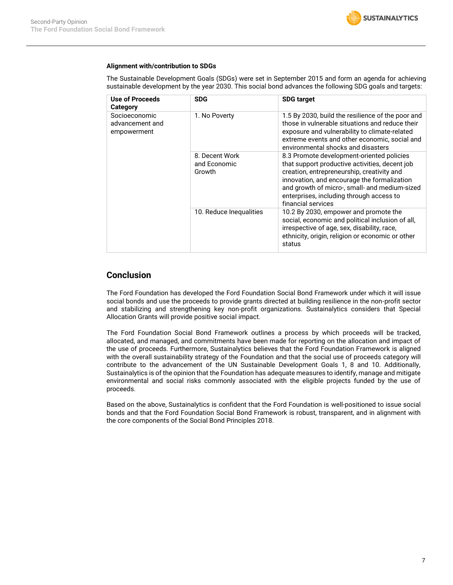#### **Alignment with/contribution to SDGs**

The Sustainable Development Goals (SDGs) were set in September 2015 and form an agenda for achieving sustainable development by the year 2030. This social bond advances the following SDG goals and targets:

| Use of Proceeds<br>Category                     | <b>SDG</b>                               | <b>SDG target</b>                                                                                                                                                                                                                                                                                           |
|-------------------------------------------------|------------------------------------------|-------------------------------------------------------------------------------------------------------------------------------------------------------------------------------------------------------------------------------------------------------------------------------------------------------------|
| Socioeconomic<br>advancement and<br>empowerment | 1. No Poverty                            | 1.5 By 2030, build the resilience of the poor and<br>those in vulnerable situations and reduce their<br>exposure and vulnerability to climate-related<br>extreme events and other economic, social and<br>environmental shocks and disasters                                                                |
|                                                 | 8. Decent Work<br>and Economic<br>Growth | 8.3 Promote development-oriented policies<br>that support productive activities, decent job<br>creation, entrepreneurship, creativity and<br>innovation, and encourage the formalization<br>and growth of micro-, small- and medium-sized<br>enterprises, including through access to<br>financial services |
|                                                 | 10. Reduce Inequalities                  | 10.2 By 2030, empower and promote the<br>social, economic and political inclusion of all,<br>irrespective of age, sex, disability, race,<br>ethnicity, origin, religion or economic or other<br>status                                                                                                      |

### **Conclusion**

The Ford Foundation has developed the Ford Foundation Social Bond Framework under which it will issue social bonds and use the proceeds to provide grants directed at building resilience in the non-profit sector and stabilizing and strengthening key non-profit organizations. Sustainalytics considers that Special Allocation Grants will provide positive social impact.

The Ford Foundation Social Bond Framework outlines a process by which proceeds will be tracked, allocated, and managed, and commitments have been made for reporting on the allocation and impact of the use of proceeds. Furthermore, Sustainalytics believes that the Ford Foundation Framework is aligned with the overall sustainability strategy of the Foundation and that the social use of proceeds category will contribute to the advancement of the UN Sustainable Development Goals 1, 8 and 10. Additionally, Sustainalytics is of the opinion that the Foundation has adequate measures to identify, manage and mitigate environmental and social risks commonly associated with the eligible projects funded by the use of proceeds.

Based on the above, Sustainalytics is confident that the Ford Foundation is well-positioned to issue social bonds and that the Ford Foundation Social Bond Framework is robust, transparent, and in alignment with the core components of the Social Bond Principles 2018.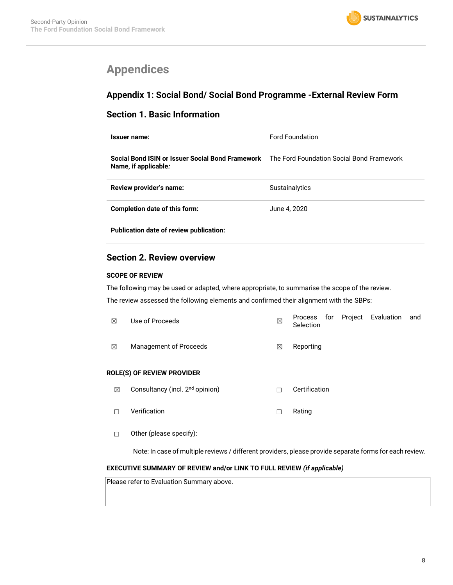# <span id="page-7-0"></span>**Appendices**

## **Appendix 1: Social Bond/ Social Bond Programme -External Review Form**

### **Section 1. Basic Information**

| Issuer name:                                                                                                       | <b>Ford Foundation</b> |
|--------------------------------------------------------------------------------------------------------------------|------------------------|
| Social Bond ISIN or Issuer Social Bond Framework The Ford Foundation Social Bond Framework<br>Name, if applicable: |                        |
| Review provider's name:                                                                                            | <b>Sustainalytics</b>  |
| <b>Completion date of this form:</b>                                                                               | June 4, 2020           |
| Publication date of review publication:                                                                            |                        |

## **Section 2. Review overview**

#### **SCOPE OF REVIEW**

The following may be used or adapted, where appropriate, to summarise the scope of the review.

The review assessed the following elements and confirmed their alignment with the SBPs:

| ⊠ | Use of Proceeds                             | ⊠ | Project<br>Evaluation<br>for<br>Process<br>and<br>Selection |  |
|---|---------------------------------------------|---|-------------------------------------------------------------|--|
| ⊠ | Management of Proceeds                      | ⊠ | Reporting                                                   |  |
|   | <b>ROLE(S) OF REVIEW PROVIDER</b>           |   |                                                             |  |
| ⊠ | Consultancy (incl. 2 <sup>nd</sup> opinion) | П | Certification                                               |  |
|   | Verification                                | □ | Rating                                                      |  |
|   | Other (please specify):                     |   |                                                             |  |

Note: In case of multiple reviews / different providers, please provide separate forms for each review.

#### **EXECUTIVE SUMMARY OF REVIEW and/or LINK TO FULL REVIEW** *(if applicable)*

Please refer to Evaluation Summary above.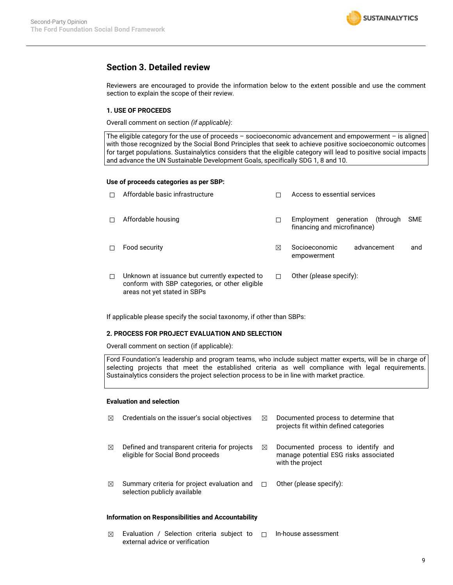

### **Section 3. Detailed review**

Reviewers are encouraged to provide the information below to the extent possible and use the comment section to explain the scope of their review.

#### **1. USE OF PROCEEDS**

Overall comment on section *(if applicable)*:

The eligible category for the use of proceeds – socioeconomic advancement and empowerment – is aligned with those recognized by the Social Bond Principles that seek to achieve positive socioeconomic outcomes for target populations. Sustainalytics considers that the eligible category will lead to positive social impacts and advance the UN Sustainable Development Goals, specifically SDG 1, 8 and 10.

#### **Use of proceeds categories as per SBP:**

| п  | Affordable basic infrastructure                                                                                                 |   | Access to essential services                                     |            |
|----|---------------------------------------------------------------------------------------------------------------------------------|---|------------------------------------------------------------------|------------|
| п  | Affordable housing                                                                                                              | П | Employment generation<br>through)<br>financing and microfinance) | <b>SME</b> |
| п  | Food security                                                                                                                   | ⊠ | Socioeconomic<br>advancement<br>empowerment                      | and        |
| П. | Unknown at issuance but currently expected to<br>conform with SBP categories, or other eligible<br>areas not yet stated in SBPs | п | Other (please specify):                                          |            |

If applicable please specify the social taxonomy, if other than SBPs:

#### **2. PROCESS FOR PROJECT EVALUATION AND SELECTION**

Overall comment on section (if applicable):

Ford Foundation's leadership and program teams, who include subject matter experts, will be in charge of selecting projects that meet the established criteria as well compliance with legal requirements. Sustainalytics considers the project selection process to be in line with market practice.

#### **Evaluation and selection**

| $\boxtimes$ | Credentials on the issuer's social objectives                                      | ⊠ | Documented process to determine that<br>projects fit within defined categories                  |
|-------------|------------------------------------------------------------------------------------|---|-------------------------------------------------------------------------------------------------|
| ⊠           | Defined and transparent criteria for projects<br>eligible for Social Bond proceeds | ⊠ | Documented process to identify and<br>manage potential ESG risks associated<br>with the project |
| ⊠           | Summary criteria for project evaluation and<br>selection publicly available        |   | Other (please specify):                                                                         |

#### **Information on Responsibilities and Accountability**

 $\boxtimes$  Evaluation / Selection criteria subject to  $\Box$  In-house assessment external advice or verification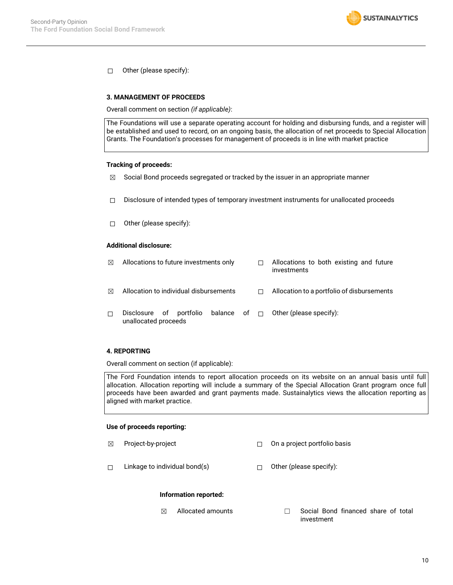$\Box$  Other (please specify):

#### **3. MANAGEMENT OF PROCEEDS**

Overall comment on section *(if applicable)*:

The Foundations will use a separate operating account for holding and disbursing funds, and a register will be established and used to record, on an ongoing basis, the allocation of net proceeds to Special Allocation Grants. The Foundation's processes for management of proceeds is in line with market practice

#### **Tracking of proceeds:**

- $\boxtimes$  Social Bond proceeds segregated or tracked by the issuer in an appropriate manner
- ☐ Disclosure of intended types of temporary investment instruments for unallocated proceeds
- ☐ Other (please specify):

#### **Additional disclosure:**

| ⊠ | Allocations to future investments only          |  | Allocations to both existing and future<br>investments |
|---|-------------------------------------------------|--|--------------------------------------------------------|
| ⊠ | Allocation to individual disbursements          |  | Allocation to a portfolio of disbursements             |
| П | Disclosure of portfolio<br>unallocated proceeds |  | balance of $\Box$ Other (please specify):              |

#### **4. REPORTING**

Overall comment on section (if applicable):

The Ford Foundation intends to report allocation proceeds on its website on an annual basis until full allocation. Allocation reporting will include a summary of the Special Allocation Grant program once full proceeds have been awarded and grant payments made. Sustainalytics views the allocation reporting as aligned with market practice.

#### **Use of proceeds reporting:**

- ☒ Project-by-project ☐ On a project portfolio basis
- ☐ Linkage to individual bond(s) ☐ Other (please specify):

#### **Information reported:**

 $\boxtimes$  Allocated amounts  $\Box$  Social Bond financed share of total investment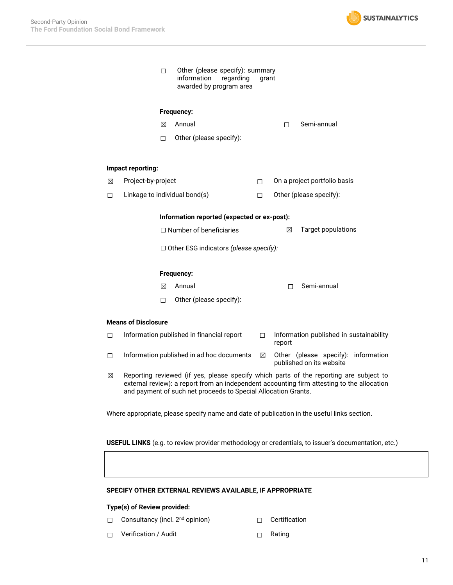

| П | Other (please specify): summary |  |       |  |  |  |  |
|---|---------------------------------|--|-------|--|--|--|--|
|   | information regarding           |  | grant |  |  |  |  |
|   | awarded by program area         |  |       |  |  |  |  |

#### **Frequency:**

- 
- ☒ Annual ☐ Semi-annual
- ☐ Other (please specify):

#### **Impact reporting:**

- ☒ Project-by-project ☐ On a project portfolio basis
- ☐ Linkage to individual bond(s) ☐ Other (please specify):

#### **Information reported (expected or ex-post):**

☐ Number of beneficiaries ☒ Target populations

☐ Other ESG indicators *(please specify):*

#### **Frequency:**

- ☒ Annual ☐ Semi-annual
- ☐ Other (please specify):

#### **Means of Disclosure**

- □ Information published in financial report □ Information published in sustainability report ☐ Information published in ad hoc documents ☒ Other (please specify): information published on its website
- $\boxtimes$  Reporting reviewed (if yes, please specify which parts of the reporting are subject to external review): a report from an independent accounting firm attesting to the allocation and payment of such net proceeds to Special Allocation Grants.

Where appropriate, please specify name and date of publication in the useful links section.

**USEFUL LINKS** (e.g. to review provider methodology or credentials, to issuer's documentation, etc.)

#### **SPECIFY OTHER EXTERNAL REVIEWS AVAILABLE, IF APPROPRIATE**

#### **Type(s) of Review provided:**

- □ Consultancy (incl. 2<sup>nd</sup> opinion) □ Certification
	-
- ☐ Verification / Audit ☐ Rating
-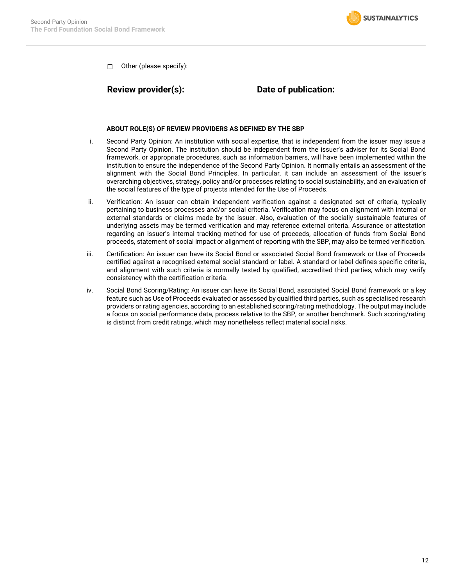

☐ Other (please specify):

### **Review provider(s): Date of publication:**

#### **ABOUT ROLE(S) OF REVIEW PROVIDERS AS DEFINED BY THE SBP**

- i. Second Party Opinion: An institution with social expertise, that is independent from the issuer may issue a Second Party Opinion. The institution should be independent from the issuer's adviser for its Social Bond framework, or appropriate procedures, such as information barriers, will have been implemented within the institution to ensure the independence of the Second Party Opinion. It normally entails an assessment of the alignment with the Social Bond Principles. In particular, it can include an assessment of the issuer's overarching objectives, strategy, policy and/or processes relating to social sustainability, and an evaluation of the social features of the type of projects intended for the Use of Proceeds.
- ii. Verification: An issuer can obtain independent verification against a designated set of criteria, typically pertaining to business processes and/or social criteria. Verification may focus on alignment with internal or external standards or claims made by the issuer. Also, evaluation of the socially sustainable features of underlying assets may be termed verification and may reference external criteria. Assurance or attestation regarding an issuer's internal tracking method for use of proceeds, allocation of funds from Social Bond proceeds, statement of social impact or alignment of reporting with the SBP, may also be termed verification.
- iii. Certification: An issuer can have its Social Bond or associated Social Bond framework or Use of Proceeds certified against a recognised external social standard or label. A standard or label defines specific criteria, and alignment with such criteria is normally tested by qualified, accredited third parties, which may verify consistency with the certification criteria.
- iv. Social Bond Scoring/Rating: An issuer can have its Social Bond, associated Social Bond framework or a key feature such as Use of Proceeds evaluated or assessed by qualified third parties, such as specialised research providers or rating agencies, according to an established scoring/rating methodology. The output may include a focus on social performance data, process relative to the SBP, or another benchmark. Such scoring/rating is distinct from credit ratings, which may nonetheless reflect material social risks.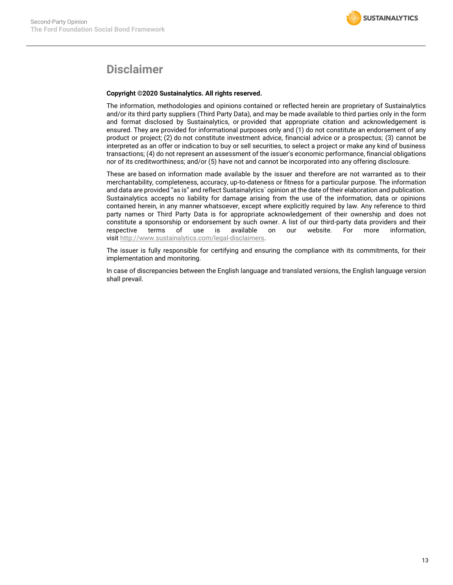# **Disclaimer**

#### **Copyright ©2020 Sustainalytics. All rights reserved.**

The information, methodologies and opinions contained or reflected herein are proprietary of Sustainalytics and/or its third party suppliers (Third Party Data), and may be made available to third parties only in the form and format disclosed by Sustainalytics, or provided that appropriate citation and acknowledgement is ensured. They are provided for informational purposes only and (1) do not constitute an endorsement of any product or project; (2) do not constitute investment advice, financial advice or a prospectus; (3) cannot be interpreted as an offer or indication to buy or sell securities, to select a project or make any kind of business transactions; (4) do not represent an assessment of the issuer's economic performance, financial obligations nor of its creditworthiness; and/or (5) have not and cannot be incorporated into any offering disclosure.

These are based on information made available by the issuer and therefore are not warranted as to their merchantability, completeness, accuracy, up-to-dateness or fitness for a particular purpose. The information and data are provided "as is" and reflect Sustainalytics` opinion at the date of their elaboration and publication. Sustainalytics accepts no liability for damage arising from the use of the information, data or opinions contained herein, in any manner whatsoever, except where explicitly required by law. Any reference to third party names or Third Party Data is for appropriate acknowledgement of their ownership and does not constitute a sponsorship or endorsement by such owner. A list of our third-party data providers and their respective terms of use is available on our website. For more information, visit [http://www.sustainalytics.com/legal-disclaimers.](http://www.sustainalytics.com/legal-disclaimers)

The issuer is fully responsible for certifying and ensuring the compliance with its commitments, for their implementation and monitoring.

In case of discrepancies between the English language and translated versions, the English language version shall prevail.